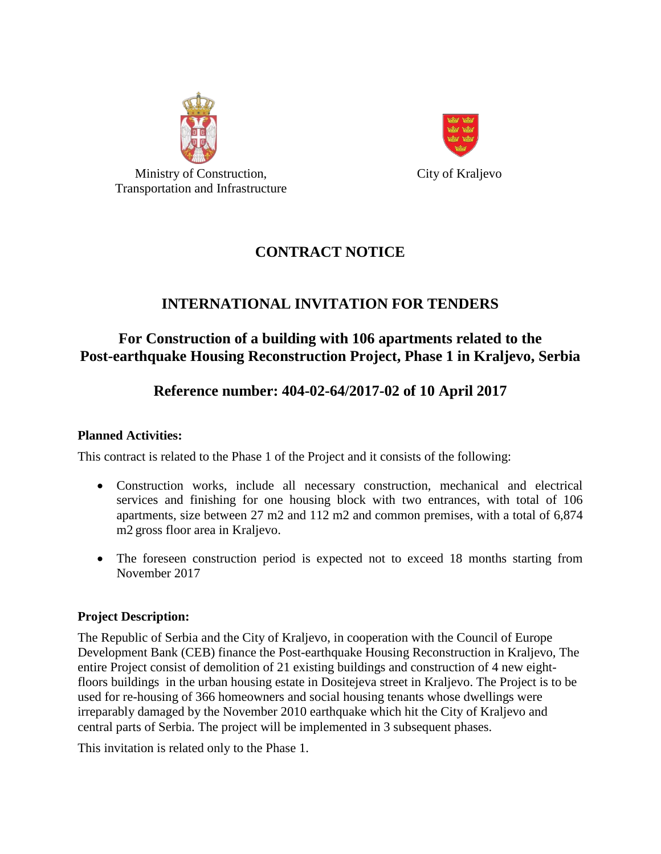



City of Kraljevo

## **CONTRACT NOTICE**

# **INTERNATIONAL INVITATION FOR TENDERS**

## **For Construction of a building with 106 apartments related to the Post-earthquake Housing Reconstruction Project, Phase 1 in Kraljevo, Serbia**

# **Reference number: 404-02-64/2017-02 of 10 April 2017**

### **Planned Activities:**

This contract is related to the Phase 1 of the Project and it consists of the following:

- Construction works, include all necessary construction, mechanical and electrical services and finishing for one housing block with two entrances, with total of 106 apartments, size between 27 m2 and 112 m2 and common premises, with a total of 6,874 m2 gross floor area in Kraljevo.
- The foreseen construction period is expected not to exceed 18 months starting from November 2017

### **Project Description:**

The Republic of Serbia and the City of Kraljevo, in cooperation with the Council of Europe Development Bank (CEB) finance the Post-earthquake Housing Reconstruction in Kraljevo, The entire Project consist of demolition of 21 existing buildings and construction of 4 new eightfloors buildings in the urban housing estate in Dositejeva street in Kraljevo. The Project is to be used for re-housing of 366 homeowners and social housing tenants whose dwellings were irreparably damaged by the November 2010 earthquake which hit the City of Kraljevo and central parts of Serbia. The project will be implemented in 3 subsequent phases.

This invitation is related only to the Phase 1.